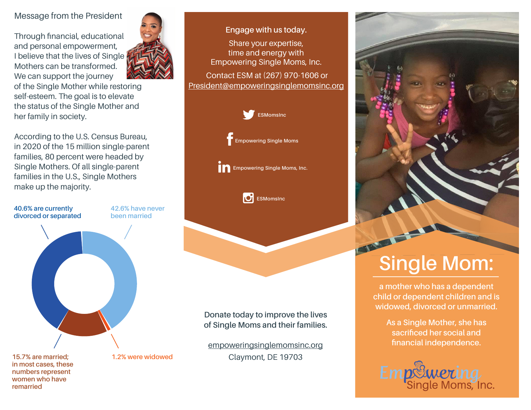# Message from the President

Through financial, educational and personal empowerment, I believe that the lives of Single Mothers can be transformed. We can support the journey



of the Single Mother while restoring self-esteem. The goal is to elevate the status of the Single Mother and her family in society.

According to the U.S. Census Bureau, in 2020 of the 15 million single-parent families, 80 percent were headed by Single Mothers. Of all single-parent families in the U.S., Single Mothers make up the majority.





**Engage with us today.**

Share your expertise, time and energy with Empowering Single Moms, Inc.

 Contact ESM at (267) 970-1606 or President@empoweringsinglemomsinc.org



**EM** Empowering Single Moms, Inc.



**Donate today to improve the lives of Single Moms and their families.**

empoweringsinglemomsinc.org Claymont, DE 19703

# **Single Mom:**

**a mother who has a dependent child or dependent children and is widowed, divorced or unmarried.** 

**As a Single Mother, she has sacrificed her social and financial independence.**



**15.7% are married; 1.2% were widowed**

**in most cases, these numbers represent women who have remarried**